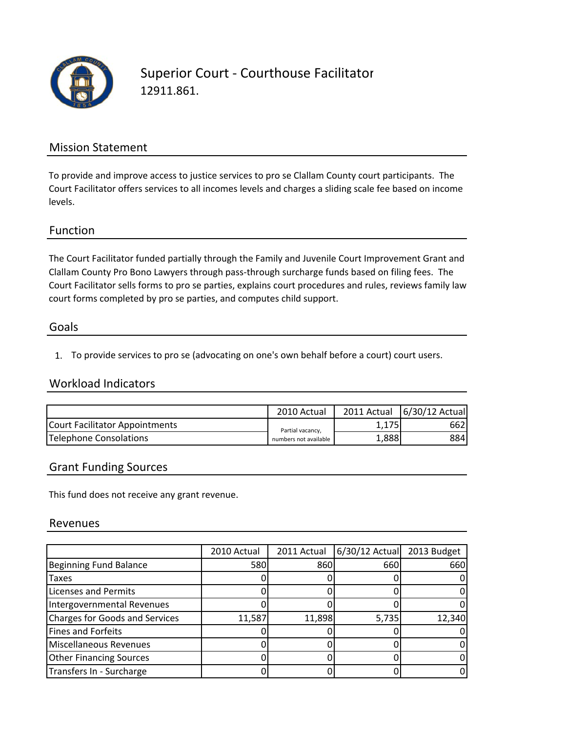

# Superior Court ‐ Courthouse Facilitator 12911.861.

### Mission Statement

To provide and improve access to justice services to pro se Clallam County court participants. The Court Facilitator offers services to all incomes levels and charges a sliding scale fee based on income levels.

### Function

The Court Facilitator funded partially through the Family and Juvenile Court Improvement Grant and Clallam County Pro Bono Lawyers through pass‐through surcharge funds based on filing fees. The Court Facilitator sells forms to pro se parties, explains court procedures and rules, reviews family law court forms completed by pro se parties, and computes child support.

#### Goals

1. To provide services to pro se (advocating on one's own behalf before a court) court users.

### Workload Indicators

|                                | 2010 Actual                               |       | 2011 Actual   6/30/12 Actual |
|--------------------------------|-------------------------------------------|-------|------------------------------|
| Court Facilitator Appointments | Partial vacancy,<br>numbers not available | 1,175 | 662I                         |
| Telephone Consolations         |                                           | 1,888 | 884I                         |

#### Grant Funding Sources

This fund does not receive any grant revenue.

#### Revenues

|                                       | 2010 Actual | 2011 Actual | 6/30/12 Actual | 2013 Budget |
|---------------------------------------|-------------|-------------|----------------|-------------|
| <b>Beginning Fund Balance</b>         | 580         | 860         | 660            | 660         |
| Taxes                                 |             |             |                |             |
| <b>Licenses and Permits</b>           |             |             |                |             |
| Intergovernmental Revenues            |             |             |                |             |
| <b>Charges for Goods and Services</b> | 11,587      | 11,898      | 5,735          | 12,340      |
| Fines and Forfeits                    |             |             |                |             |
| Miscellaneous Revenues                |             |             |                |             |
| <b>Other Financing Sources</b>        |             |             |                |             |
| Transfers In - Surcharge              |             |             |                |             |